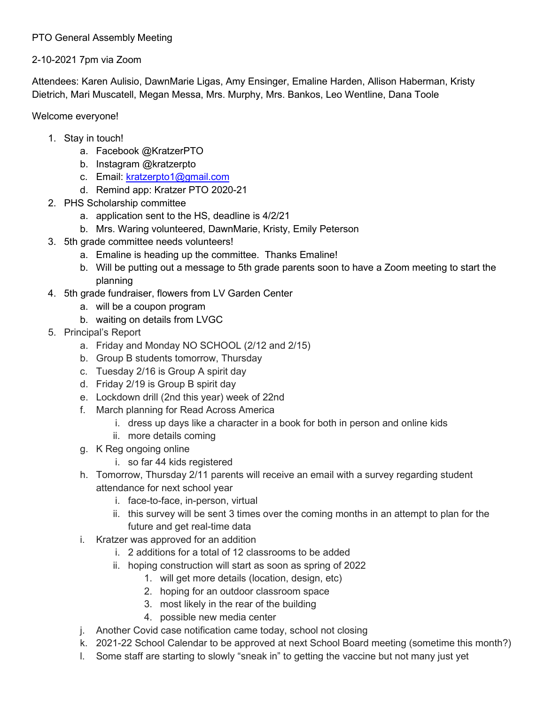## PTO General Assembly Meeting

## 2-10-2021 7pm via Zoom

Attendees: Karen Aulisio, DawnMarie Ligas, Amy Ensinger, Emaline Harden, Allison Haberman, Kristy Dietrich, Mari Muscatell, Megan Messa, Mrs. Murphy, Mrs. Bankos, Leo Wentline, Dana Toole

Welcome everyone!

- 1. Stay in touch!
	- a. Facebook @KratzerPTO
	- b. Instagram @kratzerpto
	- c. Email: [kratzerpto1@gmail.com](mailto:kratzerpto1@gmail.com)
	- d. Remind app: Kratzer PTO 2020-21
- 2. PHS Scholarship committee
	- a. application sent to the HS, deadline is 4/2/21
	- b. Mrs. Waring volunteered, DawnMarie, Kristy, Emily Peterson
- 3. 5th grade committee needs volunteers!
	- a. Emaline is heading up the committee. Thanks Emaline!
	- b. Will be putting out a message to 5th grade parents soon to have a Zoom meeting to start the planning
- 4. 5th grade fundraiser, flowers from LV Garden Center
	- a. will be a coupon program
	- b. waiting on details from LVGC
- 5. Principal's Report
	- a. Friday and Monday NO SCHOOL (2/12 and 2/15)
	- b. Group B students tomorrow, Thursday
	- c. Tuesday 2/16 is Group A spirit day
	- d. Friday 2/19 is Group B spirit day
	- e. Lockdown drill (2nd this year) week of 22nd
	- f. March planning for Read Across America
		- i. dress up days like a character in a book for both in person and online kids
		- ii. more details coming
	- g. K Reg ongoing online
		- i. so far 44 kids registered
	- h. Tomorrow, Thursday 2/11 parents will receive an email with a survey regarding student attendance for next school year
		- i. face-to-face, in-person, virtual
		- ii. this survey will be sent 3 times over the coming months in an attempt to plan for the future and get real-time data
	- i. Kratzer was approved for an addition
		- i. 2 additions for a total of 12 classrooms to be added
		- ii. hoping construction will start as soon as spring of 2022
			- 1. will get more details (location, design, etc)
			- 2. hoping for an outdoor classroom space
			- 3. most likely in the rear of the building
			- 4. possible new media center
	- j. Another Covid case notification came today, school not closing
	- k. 2021-22 School Calendar to be approved at next School Board meeting (sometime this month?)
	- l. Some staff are starting to slowly "sneak in" to getting the vaccine but not many just yet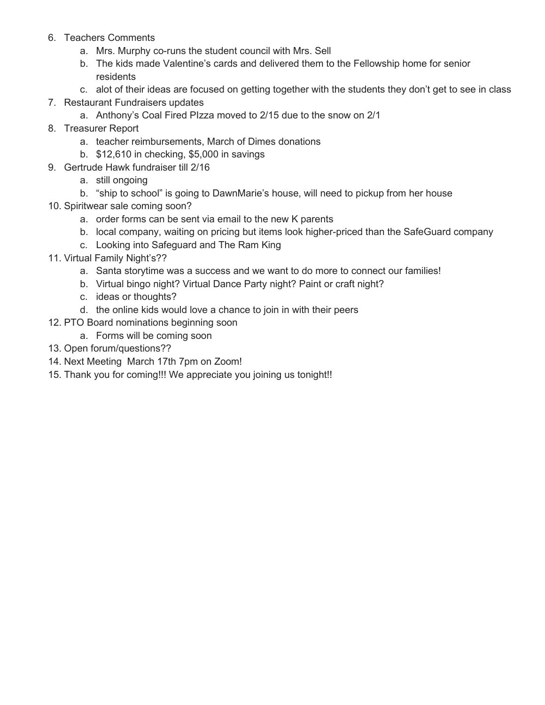- 6. Teachers Comments
	- a. Mrs. Murphy co-runs the student council with Mrs. Sell
	- b. The kids made Valentine's cards and delivered them to the Fellowship home for senior residents
	- c. alot of their ideas are focused on getting together with the students they don't get to see in class
- 7. Restaurant Fundraisers updates
	- a. Anthony's Coal Fired PIzza moved to 2/15 due to the snow on 2/1
- 8. Treasurer Report
	- a. teacher reimbursements, March of Dimes donations
	- b. \$12,610 in checking, \$5,000 in savings
- 9. Gertrude Hawk fundraiser till 2/16
	- a. still ongoing
	- b. "ship to school" is going to DawnMarie's house, will need to pickup from her house
- 10. Spiritwear sale coming soon?
	- a. order forms can be sent via email to the new K parents
	- b. local company, waiting on pricing but items look higher-priced than the SafeGuard company
	- c. Looking into Safeguard and The Ram King
- 11. Virtual Family Night's??
	- a. Santa storytime was a success and we want to do more to connect our families!
	- b. Virtual bingo night? Virtual Dance Party night? Paint or craft night?
	- c. ideas or thoughts?
	- d. the online kids would love a chance to join in with their peers
- 12. PTO Board nominations beginning soon
	- a. Forms will be coming soon
- 13. Open forum/questions??
- 14. Next Meeting March 17th 7pm on Zoom!
- 15. Thank you for coming!!! We appreciate you joining us tonight!!